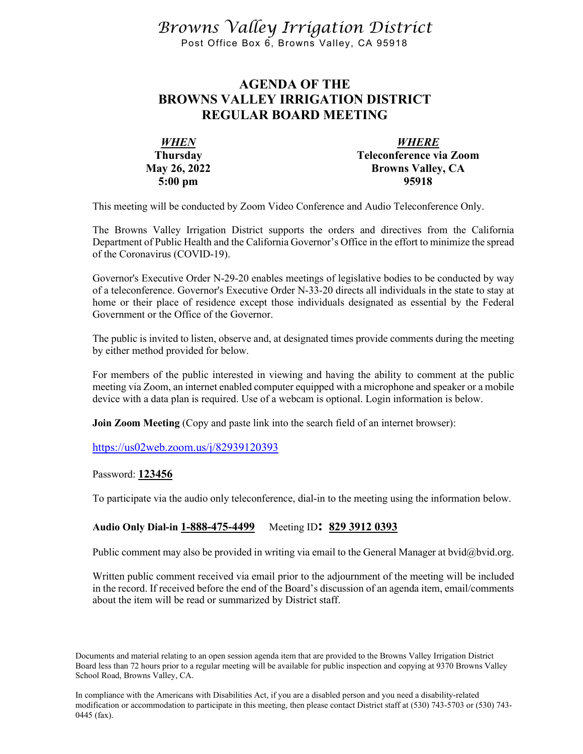*Browns Valley Irrigation District* Post Office Box 6, Browns Valley, CA 95918

## **AGENDA OF THE BROWNS VALLEY IRRIGATION DISTRICT REGULAR BOARD MEETING**

| <b>WHEN</b>         | <b>WHERE</b>             |
|---------------------|--------------------------|
| <b>Thursday</b>     | Teleconference via Zoom  |
| <b>May 26, 2022</b> | <b>Browns Valley, CA</b> |
| $5:00 \text{ pm}$   | 95918                    |

This meeting will be conducted by Zoom Video Conference and Audio Teleconference Only.

The Browns Valley Irrigation District supports the orders and directives from the California Department of Public Health and the California Governor's Office in the effort to minimize the spread of the Coronavirus (COVID-19).

Governor's Executive Order N-29-20 enables meetings of legislative bodies to be conducted by way of a teleconference. Governor's Executive Order N-33-20 directs all individuals in the state to stay at home or their place of residence except those individuals designated as essential by the Federal Government or the Office of the Governor.

The public is invited to listen, observe and, at designated times provide comments during the meeting by either method provided for below.

For members of the public interested in viewing and having the ability to comment at the public meeting via Zoom, an internet enabled computer equipped with a microphone and speaker or a mobile device with a data plan is required. Use of a webcam is optional. Login information is below.

**Join Zoom Meeting** (Copy and paste link into the search field of an internet browser):

<https://us02web.zoom.us/j/82939120393>

Password: **123456**

To participate via the audio only teleconference, dial-in to the meeting using the information below.

## **Audio Only Dial-in 1-888-475-4499** Meeting ID**: 829 3912 0393**

Public comment may also be provided in writing via email to the General Manager at bvid@bvid.org.

Written public comment received via email prior to the adjournment of the meeting will be included in the record. If received before the end of the Board's discussion of an agenda item, email/comments about the item will be read or summarized by District staff.

Documents and material relating to an open session agenda item that are provided to the Browns Valley Irrigation District Board less than 72 hours prior to a regular meeting will be available for public inspection and copying at 9370 Browns Valley School Road, Browns Valley, CA.

In compliance with the Americans with Disabilities Act, if you are a disabled person and you need a disability-related modification or accommodation to participate in this meeting, then please contact District staff at (530) 743-5703 or (530) 743- 0445 (fax).